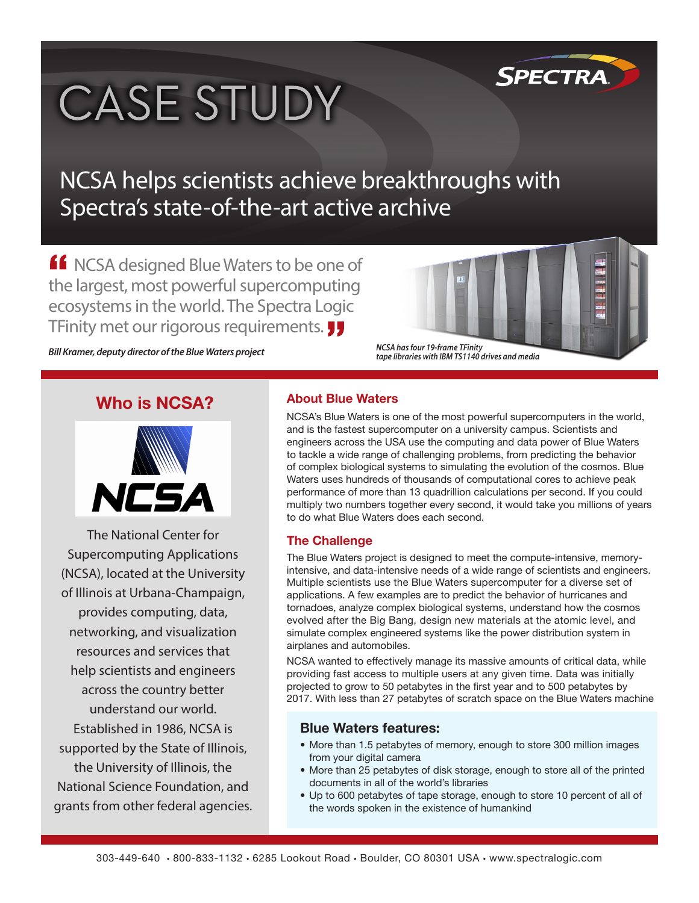# **CASE STUDY**

### NCSA helps scientists achieve breakthroughs with Spectra's state-of-the-art active archive

**If** NCSA designed Blue Waters to be one of the largest, most powerful supercomputing ecosystems in the world. The Spectra Logic TFinity met our rigorous requirements.

*Bill Kramer, deputy director of the Blue Waters project*

 *NCSA has four 19-frame TFinity tape libraries with IBM TS1140 drives and media*

**SPECTRA** 

#### **Who is NCSA?**



The National Center for Supercomputing Applications (NCSA), located at the University of Illinois at Urbana-Champaign, provides computing, data, networking, and visualization resources and services that help scientists and engineers across the country better understand our world. Established in 1986, NCSA is supported by the State of Illinois, the University of Illinois, the National Science Foundation, and grants from other federal agencies.

#### **About Blue Waters**

NCSA's Blue Waters is one of the most powerful supercomputers in the world, and is the fastest supercomputer on a university campus. Scientists and engineers across the USA use the computing and data power of Blue Waters to tackle a wide range of challenging problems, from predicting the behavior of complex biological systems to simulating the evolution of the cosmos. Blue Waters uses hundreds of thousands of computational cores to achieve peak performance of more than 13 quadrillion calculations per second. If you could multiply two numbers together every second, it would take you millions of years to do what Blue Waters does each second.

#### **The Challenge**

The Blue Waters project is designed to meet the compute-intensive, memoryintensive, and data-intensive needs of a wide range of scientists and engineers. Multiple scientists use the Blue Waters supercomputer for a diverse set of applications. A few examples are to predict the behavior of hurricanes and tornadoes, analyze complex biological systems, understand how the cosmos evolved after the Big Bang, design new materials at the atomic level, and simulate complex engineered systems like the power distribution system in airplanes and automobiles.

NCSA wanted to effectively manage its massive amounts of critical data, while providing fast access to multiple users at any given time. Data was initially projected to grow to 50 petabytes in the first year and to 500 petabytes by 2017. With less than 27 petabytes of scratch space on the Blue Waters machine

#### **Blue Waters features:**

- More than 1.5 petabytes of memory, enough to store 300 million images from your digital camera
- More than 25 petabytes of disk storage, enough to store all of the printed documents in all of the world's libraries
- Up to 600 petabytes of tape storage, enough to store 10 percent of all of the words spoken in the existence of humankind